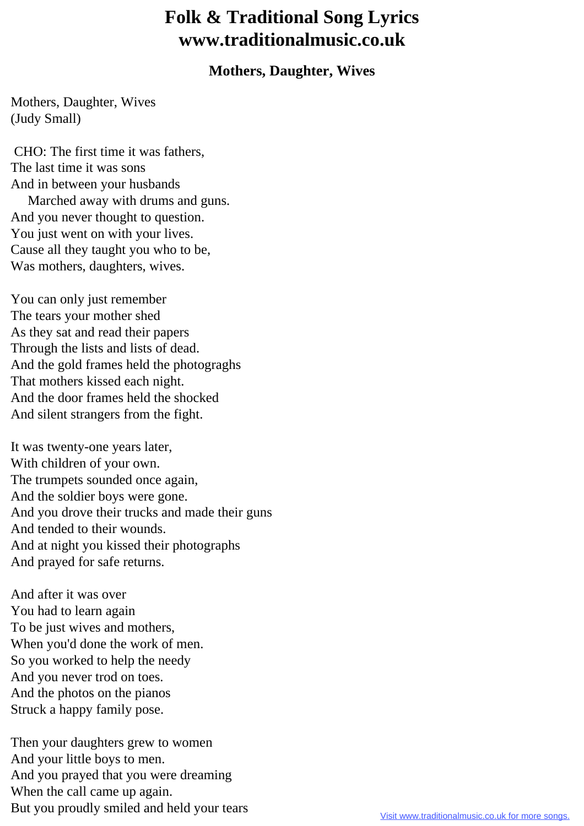## **Folk & Traditional Song Lyrics www.traditionalmusic.co.uk**

## **Mothers, Daughter, Wives**

Mothers, Daughter, Wives (Judy Small)

 CHO: The first time it was fathers, The last time it was sons And in between your husbands Marched away with drums and guns. And you never thought to question. You just went on with your lives. Cause all they taught you who to be, Was mothers, daughters, wives.

You can only just remember The tears your mother shed As they sat and read their papers Through the lists and lists of dead. And the gold frames held the photograghs That mothers kissed each night. And the door frames held the shocked And silent strangers from the fight.

It was twenty-one years later, With children of your own. The trumpets sounded once again, And the soldier boys were gone. And you drove their trucks and made their guns And tended to their wounds. And at night you kissed their photographs And prayed for safe returns.

And after it was over You had to learn again To be just wives and mothers, When you'd done the work of men. So you worked to help the needy And you never trod on toes. And the photos on the pianos Struck a happy family pose.

Then your daughters grew to women And your little boys to men. And you prayed that you were dreaming When the call came up again. But you proudly smiled and held your tears